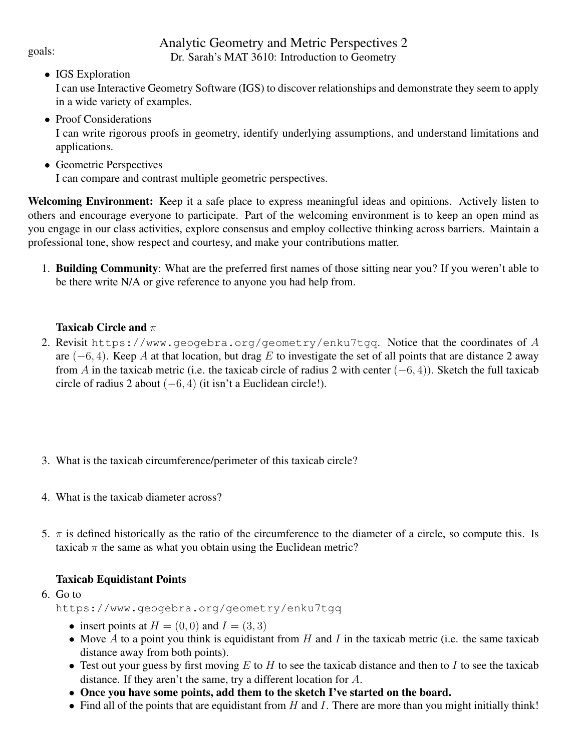# Analytic Geometry and Metric Perspectives 2 goals:<br>Dr. Sarah's MAT 3610: Introduction to Geometry

# • IGS Exploration

I can use Interactive Geometry Software (IGS) to discover relationships and demonstrate they seem to apply in a wide variety of examples.

• Proof Considerations

I can write rigorous proofs in geometry, identify underlying assumptions, and understand limitations and applications.

• Geometric Perspectives

I can compare and contrast multiple geometric perspectives.

Welcoming Environment: Keep it a safe place to express meaningful ideas and opinions. Actively listen to others and encourage everyone to participate. Part of the welcoming environment is to keep an open mind as you engage in our class activities, explore consensus and employ collective thinking across barriers. Maintain a professional tone, show respect and courtesy, and make your contributions matter.

1. Building Community: What are the preferred first names of those sitting near you? If you weren't able to be there write N/A or give reference to anyone you had help from.

#### Taxicab Circle and  $\pi$

- 2. Revisit https://www.geogebra.org/geometry/enku7tgq. Notice that the coordinates of  $A$ are  $(-6, 4)$ . Keep A at that location, but drag E to investigate the set of all points that are distance 2 away from A in the taxicab metric (i.e. the taxicab circle of radius 2 with center  $(-6, 4)$ ). Sketch the full taxicab circle of radius 2 about  $(-6, 4)$  (it isn't a Euclidean circle!).
- 3. What is the taxicab circumference/perimeter of this taxicab circle?
- 4. What is the taxicab diameter across?
- 5.  $\pi$  is defined historically as the ratio of the circumference to the diameter of a circle, so compute this. Is taxicab  $\pi$  the same as what you obtain using the Euclidean metric?

# Taxicab Equidistant Points

#### 6. Go to

https://www.geogebra.org/geometry/enku7tgq

- insert points at  $H = (0, 0)$  and  $I = (3, 3)$
- Move A to a point you think is equidistant from H and I in the taxicab metric (i.e. the same taxicab distance away from both points).
- Test out your guess by first moving  $E$  to  $H$  to see the taxicab distance and then to  $I$  to see the taxicab distance. If they aren't the same, try a different location for A.
- Once you have some points, add them to the sketch I've started on the board.
- Find all of the points that are equidistant from  $H$  and  $I$ . There are more than you might initially think!